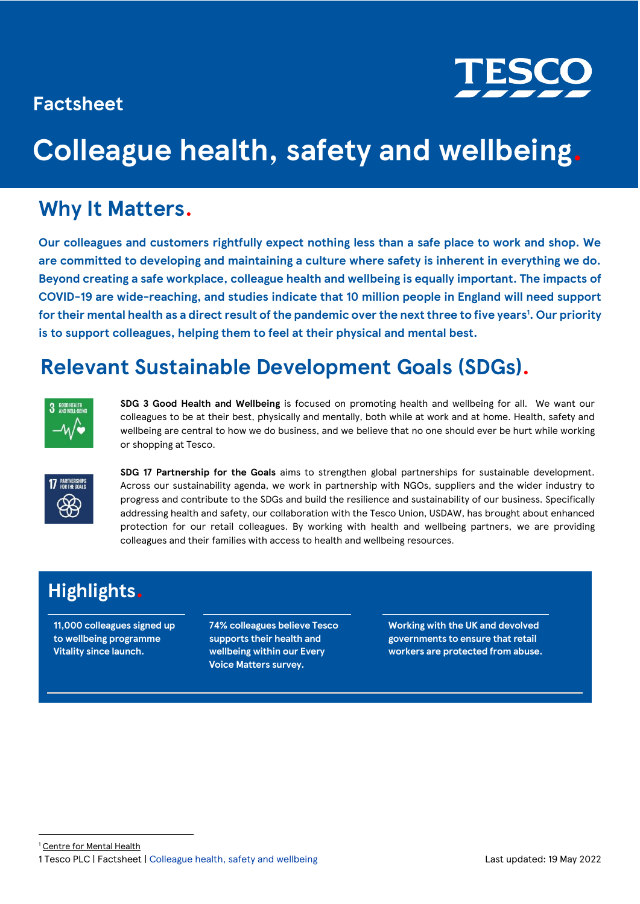### **Factsheet**



# **Colleague health, safety and wellbeing.**

### **Why It Matters.**

**Our colleagues and customers rightfully expect nothing less than a safe place to work and shop. We are committed to developing and maintaining a culture where safety is inherent in everything we do. Beyond creating a safe workplace, colleague health and wellbeing is equally important. The impacts of COVID-19 are wide-reaching, and studies indicate that 10 million people in England will need support for their mental health as a direct result of the pandemic over the next three to five years<sup>1</sup> . Our priority is to support colleagues, helping them to feel at their physical and mental best.** 

### **Relevant Sustainable Development Goals (SDGs).**



**SDG 3 Good Health and Wellbeing** is focused on promoting health and wellbeing for all. We want our colleagues to be at their best, physically and mentally, both while at work and at home. Health, safety and wellbeing are central to how we do business, and we believe that no one should ever be hurt while working or shopping at Tesco.



**SDG 17 Partnership for the Goals** aims to strengthen global partnerships for sustainable development. Across our sustainability agenda, we work in partnership with NGOs, suppliers and the wider industry to progress and contribute to the SDGs and build the resilience and sustainability of our business. Specifically addressing health and safety, our collaboration with the Tesco Union, USDAW, has brought about enhanced protection for our retail colleagues. By working with health and wellbeing partners, we are providing colleagues and their families with access to health and wellbeing resources.

### **Highlights.**

**11,000 colleagues signed up to wellbeing programme Vitality since launch.**

**74% colleagues believe Tesco supports their health and wellbeing within our Every Voice Matters survey.**

**Working with the UK and devolved governments to ensure that retail workers are protected from abuse.**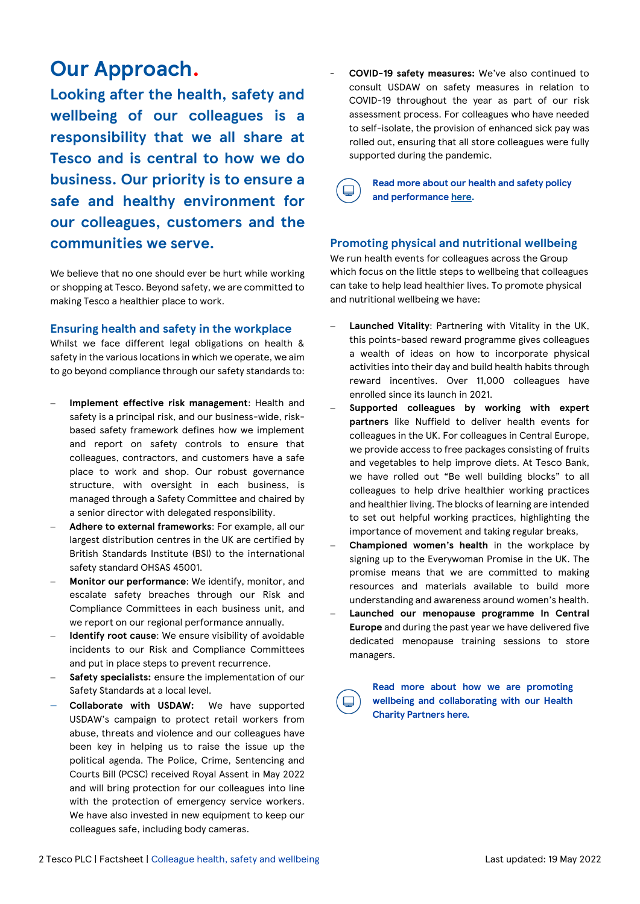### **Our Approach.**

**Looking after the health, safety and wellbeing of our colleagues is a responsibility that we all share at Tesco and is central to how we do business. Our priority is to ensure a safe and healthy environment for our colleagues, customers and the communities we serve.** 

We believe that no one should ever be hurt while working or shopping at Tesco. Beyond safety, we are committed to making Tesco a healthier place to work.

### **Ensuring health and safety in the workplace**

Whilst we face different legal obligations on health & safety in the various locations in which we operate, we aim to go beyond compliance through our safety standards to:

- − **Implement effective risk management**: Health and safety is a principal risk, and our business-wide, riskbased safety framework defines how we implement and report on safety controls to ensure that colleagues, contractors, and customers have a safe place to work and shop. Our robust governance structure, with oversight in each business, is managed through a Safety Committee and chaired by a senior director with delegated responsibility.
- − **Adhere to external frameworks**: For example, all our largest distribution centres in the UK are certified by British Standards Institute (BSI) to the international safety standard OHSAS 45001.
- **Monitor our performance:** We identify, monitor, and escalate safety breaches through our Risk and Compliance Committees in each business unit, and we report on our regional performance annually.
- − **Identify root cause**: We ensure visibility of avoidable incidents to our Risk and Compliance Committees and put in place steps to prevent recurrence.
- Safety specialists: ensure the implementation of our Safety Standards at a local level.
- − **Collaborate with USDAW:** We have supported USDAW's campaign to protect retail workers from abuse, threats and violence and our colleagues have been key in helping us to raise the issue up the political agenda. The Police, Crime, Sentencing and Courts Bill (PCSC) received Royal Assent in May 2022 and will bring protection for our colleagues into line with the protection of emergency service workers. We have also invested in new equipment to keep our colleagues safe, including body cameras.

- **COVID-19 safety measures:** We've also continued to consult USDAW on safety measures in relation to COVID-19 throughout the year as part of our risk assessment process. For colleagues who have needed to self-isolate, the provision of enhanced sick pay was rolled out, ensuring that all store colleagues were fully supported during the pandemic.

**Read more about our health and safety policy and performance [here.](https://www.tescoplc.com/sustainability/documents/policies/ensuring-health-and-safety-in-the-workplace/)**

### **Promoting physical and nutritional wellbeing**

We run health events for colleagues across the Group which focus on the little steps to wellbeing that colleagues can take to help lead healthier lives. To promote physical and nutritional wellbeing we have:

- − **Launched Vitality**: Partnering with Vitality in the UK, this points-based reward programme gives colleagues a wealth of ideas on how to incorporate physical activities into their day and build health habits through reward incentives. Over 11,000 colleagues have enrolled since its launch in 2021.
- − **Supported colleagues by working with expert partners** like Nuffield to deliver health events for colleagues in the UK. For colleagues in Central Europe, we provide access to free packages consisting of fruits and vegetables to help improve diets. At Tesco Bank, we have rolled out "Be well building blocks" to all colleagues to help drive healthier working practices and healthier living. The blocks of learning are intended to set out helpful working practices, highlighting the importance of movement and taking regular breaks,
- − **Championed women's health** in the workplace by signing up to the Everywoman Promise in the UK. The promise means that we are committed to making resources and materials available to build more understanding and awareness around women's health.
- − **Launched our menopause programme In Central Europe** and during the past year we have delivered five dedicated menopause training sessions to store managers.

**Read more about how we are promoting wellbeing and collaborating with our Health Charity Partners [here](https://www.tescoplc.com/sustainability/taking-action/community/charity-partnerships/health-charity-partnerships/)***.*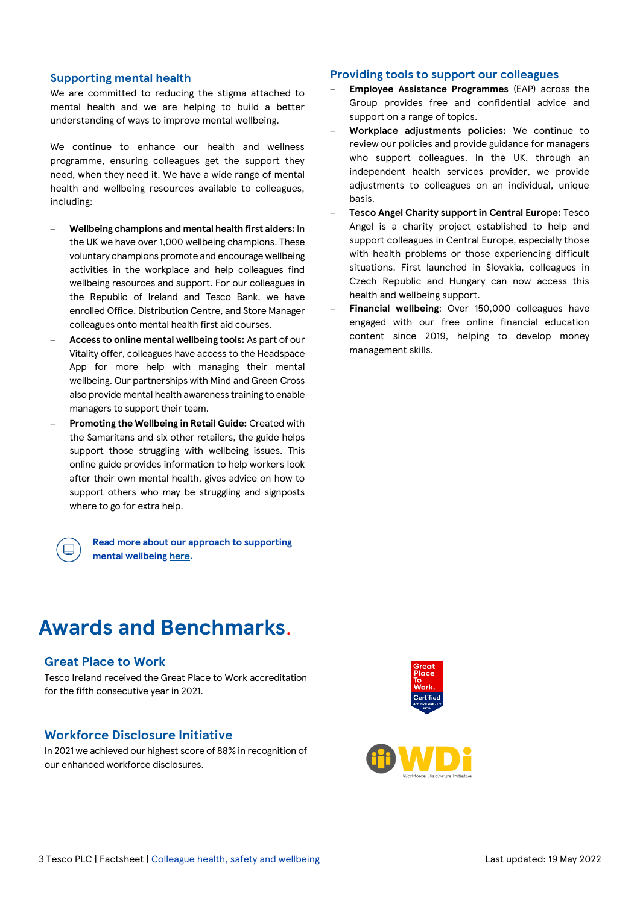### **Supporting mental health**

We are committed to reducing the stigma attached to mental health and we are helping to build a better understanding of ways to improve mental wellbeing.

We continue to enhance our health and wellness programme, ensuring colleagues get the support they need, when they need it. We have a wide range of mental health and wellbeing resources available to colleagues, including:

- − **Wellbeing champions and mental health first aiders:** In the UK we have over 1,000 wellbeing champions. These voluntary champions promote and encourage wellbeing activities in the workplace and help colleagues find wellbeing resources and support. For our colleagues in the Republic of Ireland and Tesco Bank, we have enrolled Office, Distribution Centre, and Store Manager colleagues onto mental health first aid courses.
- − **Access to online mental wellbeing tools:** As part of our Vitality offer, colleagues have access to the Headspace App for more help with managing their mental wellbeing. Our partnerships with Mind and Green Cross also provide mental health awareness training to enable managers to support their team.
- − **Promoting the Wellbeing in Retail Guide:** Created with the Samaritans and six other retailers, the guide helps support those struggling with wellbeing issues. This online guide provides information to help workers look after their own mental health, gives advice on how to support others who may be struggling and signposts where to go for extra help.

**Read more about our approach to supporting mental wellbeing [here.](https://www.tescoplc.com/sustainability/colleagues/health-safety-wellbeing/)**

### **Awards and Benchmarks**.

#### **Great Place to Work**

Tesco Ireland received the Great Place to Work accreditation for the fifth consecutive year in 2021.

### **Workforce Disclosure Initiative**

In 2021 we achieved our highest score of 88% in recognition of our enhanced workforce disclosures.

#### **Providing tools to support our colleagues**

- − **Employee Assistance Programmes** (EAP) across the Group provides free and confidential advice and support on a range of topics.
- − **Workplace adjustments policies:** We continue to review our policies and provide guidance for managers who support colleagues. In the UK, through an independent health services provider, we provide adjustments to colleagues on an individual, unique basis.
- − **Tesco Angel Charity support in Central Europe:** Tesco Angel is a charity project established to help and support colleagues in Central Europe, especially those with health problems or those experiencing difficult situations. First launched in Slovakia, colleagues in Czech Republic and Hungary can now access this health and wellbeing support.
- Financial wellbeing: Over 150,000 colleagues have engaged with our free online financial education content since 2019, helping to develop money management skills.



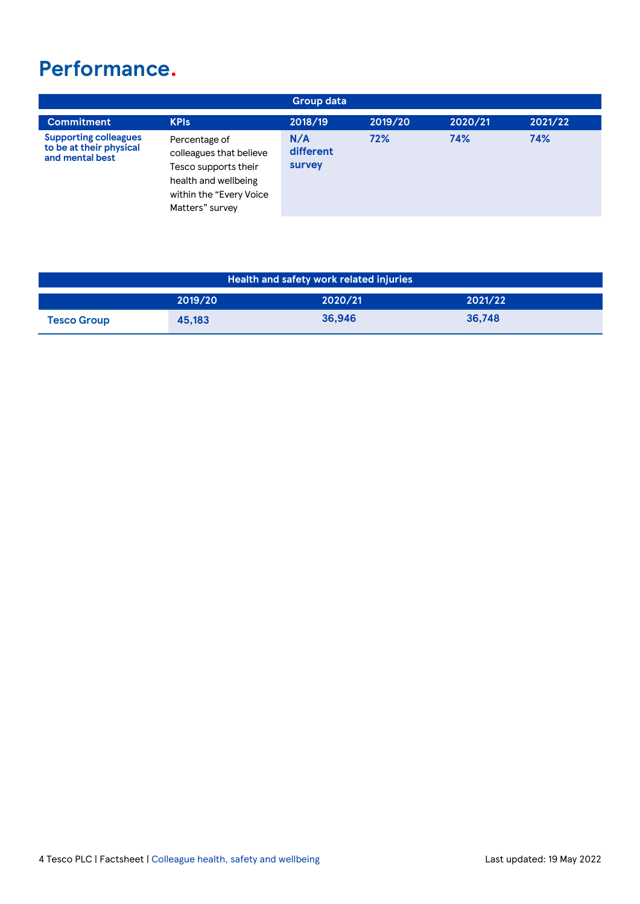### **Performance.**

| <b>Group data</b>                                                          |                                                                                                                                        |                            |         |         |         |
|----------------------------------------------------------------------------|----------------------------------------------------------------------------------------------------------------------------------------|----------------------------|---------|---------|---------|
| <b>Commitment</b>                                                          | <b>KPIs</b>                                                                                                                            | 2018/19                    | 2019/20 | 2020/21 | 2021/22 |
| <b>Supporting colleagues</b><br>to be at their physical<br>and mental best | Percentage of<br>colleagues that believe<br>Tesco supports their<br>health and wellbeing<br>within the "Every Voice<br>Matters" survey | N/A<br>different<br>survey | 72%     | 74%     | 74%     |

| Health and safety work related injuries |         |         |         |  |  |  |
|-----------------------------------------|---------|---------|---------|--|--|--|
|                                         | 2019/20 | 2020/21 | 2021/22 |  |  |  |
| <b>Tesco Group</b>                      | 45,183  | 36.946  | 36.748  |  |  |  |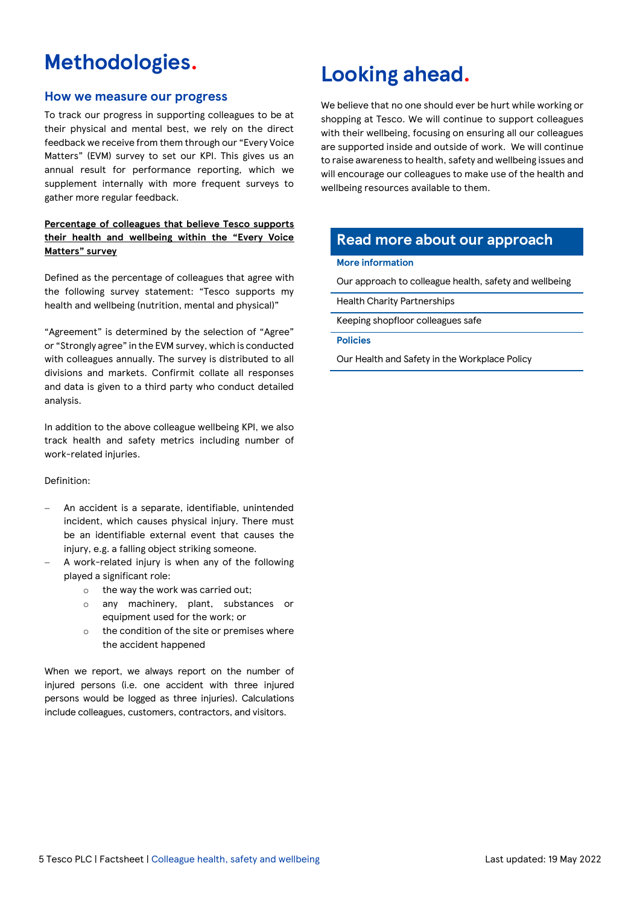### **Methodologies.**

### **How we measure our progress**

To track our progress in supporting colleagues to be at their physical and mental best, we rely on the direct feedback we receive from them through our "Every Voice Matters" (EVM) survey to set our KPI. This gives us an annual result for performance reporting, which we supplement internally with more frequent surveys to gather more regular feedback.

### **Percentage of colleagues that believe Tesco supports their health and wellbeing within the "Every Voice Matters" survey**

Defined as the percentage of colleagues that agree with the following survey statement: "Tesco supports my health and wellbeing (nutrition, mental and physical)"

"Agreement" is determined by the selection of "Agree" or "Strongly agree" in the EVM survey, which is conducted with colleagues annually. The survey is distributed to all divisions and markets. Confirmit collate all responses and data is given to a third party who conduct detailed analysis.

In addition to the above colleague wellbeing KPI, we also track health and safety metrics including number of work-related injuries.

### Definition:

- An accident is a separate, identifiable, unintended incident, which causes physical injury. There must be an identifiable external event that causes the injury, e.g. a falling object striking someone.
- A work-related injury is when any of the following played a significant role:
	- o the way the work was carried out;
	- o any machinery, plant, substances or equipment used for the work; or
	- o the condition of the site or premises where the accident happened

When we report, we always report on the number of injured persons (i.e. one accident with three injured persons would be logged as three injuries). Calculations include colleagues, customers, contractors, and visitors.

### **Looking ahead.**

We believe that no one should ever be hurt while working or shopping at Tesco. We will continue to support colleagues with their wellbeing, focusing on ensuring all our colleagues are supported inside and outside of work. We will continue to raise awareness to health, safety and wellbeing issues and will encourage our colleagues to make use of the health and wellbeing resources available to them.

### **Read more about our approach**

#### **More information**

[Our approach to colleague health, safety and wellbeing](https://www.tescoplc.com/sustainability/colleagues/health-safety-wellbeing/)

[Health Charity Partnerships](https://www.tescoplc.com/sustainability/communities/charity-partnerships/)

Keeping [shopfloor colleagues safe](https://www.tescoplc.com/blog/changing-the-law-to-keep-our-shopfloor-colleagues-safe/)

**Policies**

[Our Health and Safety in the Workplace Policy](https://www.tescoplc.com/sustainability/documents/policies/ensuring-health-and-safety-in-the-workplace/)